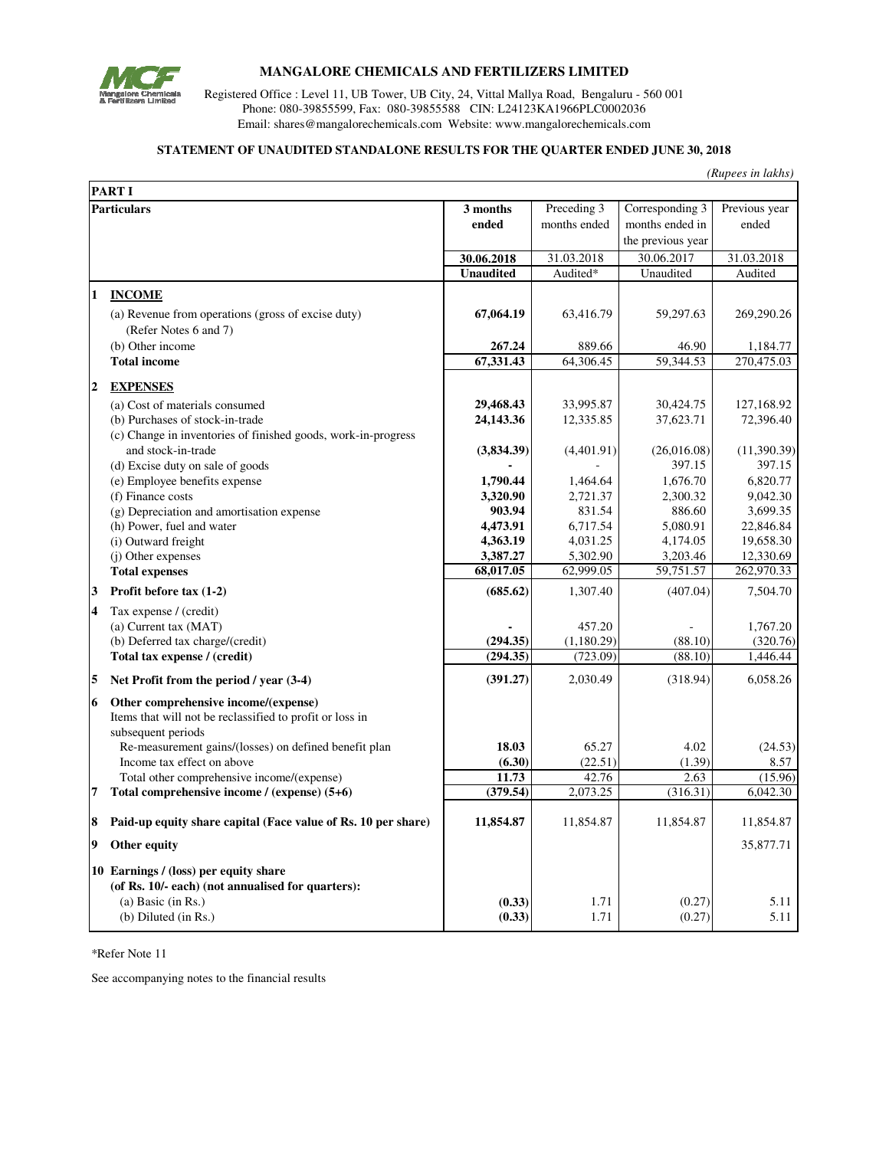

## **MANGALORE CHEMICALS AND FERTILIZERS LIMITED**

Registered Office : Level 11, UB Tower, UB City, 24, Vittal Mallya Road, Bengaluru - 560 001 Phone: 080-39855599, Fax: 080-39855588 CIN: L24123KA1966PLC0002036 Email: shares@mangalorechemicals.com Website: www.mangalorechemicals.com

## **STATEMENT OF UNAUDITED STANDALONE RESULTS FOR THE QUARTER ENDED JUNE 30, 2018**

*(Rupees in lakhs)*

| <b>PART I</b>           |                                                                                                                        |                      |                             |                                    |                        |
|-------------------------|------------------------------------------------------------------------------------------------------------------------|----------------------|-----------------------------|------------------------------------|------------------------|
| <b>Particulars</b>      |                                                                                                                        | 3 months<br>ended    | Preceding 3<br>months ended | Corresponding 3<br>months ended in | Previous year<br>ended |
|                         |                                                                                                                        |                      |                             | the previous year                  |                        |
|                         |                                                                                                                        | 30.06.2018           | 31.03.2018                  | 30.06.2017                         | 31.03.2018             |
|                         |                                                                                                                        | <b>Unaudited</b>     | Audited*                    | Unaudited                          | Audited                |
| $\mathbf{1}$            | <b>INCOME</b>                                                                                                          |                      |                             |                                    |                        |
|                         | (a) Revenue from operations (gross of excise duty)<br>(Refer Notes 6 and 7)                                            | 67,064.19            | 63,416.79                   | 59,297.63                          | 269,290.26             |
|                         | (b) Other income                                                                                                       | 267.24               | 889.66                      | 46.90                              | 1,184.77               |
|                         | <b>Total income</b>                                                                                                    | 67,331.43            | 64,306.45                   | 59,344.53                          | 270,475.03             |
| $\boldsymbol{2}$        | <b>EXPENSES</b>                                                                                                        |                      |                             |                                    |                        |
|                         | (a) Cost of materials consumed                                                                                         | 29,468.43            | 33,995.87                   | 30,424.75                          | 127,168.92             |
|                         | (b) Purchases of stock-in-trade<br>(c) Change in inventories of finished goods, work-in-progress                       | 24,143.36            | 12,335.85                   | 37,623.71                          | 72,396.40              |
|                         | and stock-in-trade                                                                                                     | (3,834.39)           | (4,401.91)                  | (26,016.08)                        | (11,390.39)            |
|                         | (d) Excise duty on sale of goods                                                                                       |                      |                             | 397.15                             | 397.15                 |
|                         | (e) Employee benefits expense                                                                                          | 1,790.44             | 1,464.64                    | 1,676.70                           | 6,820.77               |
|                         | (f) Finance costs                                                                                                      | 3,320.90             | 2,721.37                    | 2,300.32                           | 9,042.30               |
|                         | (g) Depreciation and amortisation expense                                                                              | 903.94               | 831.54                      | 886.60                             | 3,699.35               |
|                         | (h) Power, fuel and water                                                                                              | 4,473.91<br>4,363.19 | 6,717.54<br>4,031.25        | 5,080.91<br>4,174.05               | 22,846.84<br>19,658.30 |
|                         | (i) Outward freight<br>(j) Other expenses                                                                              | 3,387.27             | 5,302.90                    | 3,203.46                           | 12,330.69              |
|                         | <b>Total expenses</b>                                                                                                  | 68,017.05            | 62,999.05                   | 59,751.57                          | 262,970.33             |
| 3                       | Profit before tax (1-2)                                                                                                | (685.62)             | 1,307.40                    | (407.04)                           | 7,504.70               |
| $\overline{\mathbf{4}}$ | Tax expense / (credit)                                                                                                 |                      |                             |                                    |                        |
|                         | (a) Current tax (MAT)                                                                                                  |                      | 457.20                      |                                    | 1,767.20               |
|                         | (b) Deferred tax charge/(credit)                                                                                       | (294.35)             | (1,180.29)                  | (88.10)                            | (320.76)               |
|                         | Total tax expense / (credit)                                                                                           | (294.35)             | (723.09)                    | (88.10)                            | 1,446.44               |
| 5                       | Net Profit from the period / year (3-4)                                                                                | (391.27)             | 2,030.49                    | (318.94)                           | 6,058.26               |
| 6                       | Other comprehensive income/(expense)<br>Items that will not be reclassified to profit or loss in<br>subsequent periods |                      |                             |                                    |                        |
|                         | Re-measurement gains/(losses) on defined benefit plan                                                                  | 18.03                | 65.27                       | 4.02                               | (24.53)                |
|                         | Income tax effect on above                                                                                             | (6.30)               | (22.51)                     | (1.39)                             | 8.57                   |
|                         | Total other comprehensive income/(expense)                                                                             | 11.73                | 42.76                       | 2.63                               | (15.96)                |
| $\overline{7}$          | Total comprehensive income / (expense) (5+6)                                                                           | (379.54)             | 2,073.25                    | (316.31)                           | 6,042.30               |
| 8                       | Paid-up equity share capital (Face value of Rs. 10 per share)                                                          | 11,854.87            | 11,854.87                   | 11,854.87                          | 11,854.87              |
| 9                       | Other equity                                                                                                           |                      |                             |                                    | 35,877.71              |
|                         | 10 Earnings / (loss) per equity share<br>(of Rs. 10/- each) (not annualised for quarters):<br>(a) Basic (in $Rs.$ )    | (0.33)               | 1.71                        | (0.27)                             | 5.11                   |
|                         | $(b)$ Diluted $(in Rs.)$                                                                                               | (0.33)               | 1.71                        | (0.27)                             | 5.11                   |

\*Refer Note 11

See accompanying notes to the financial results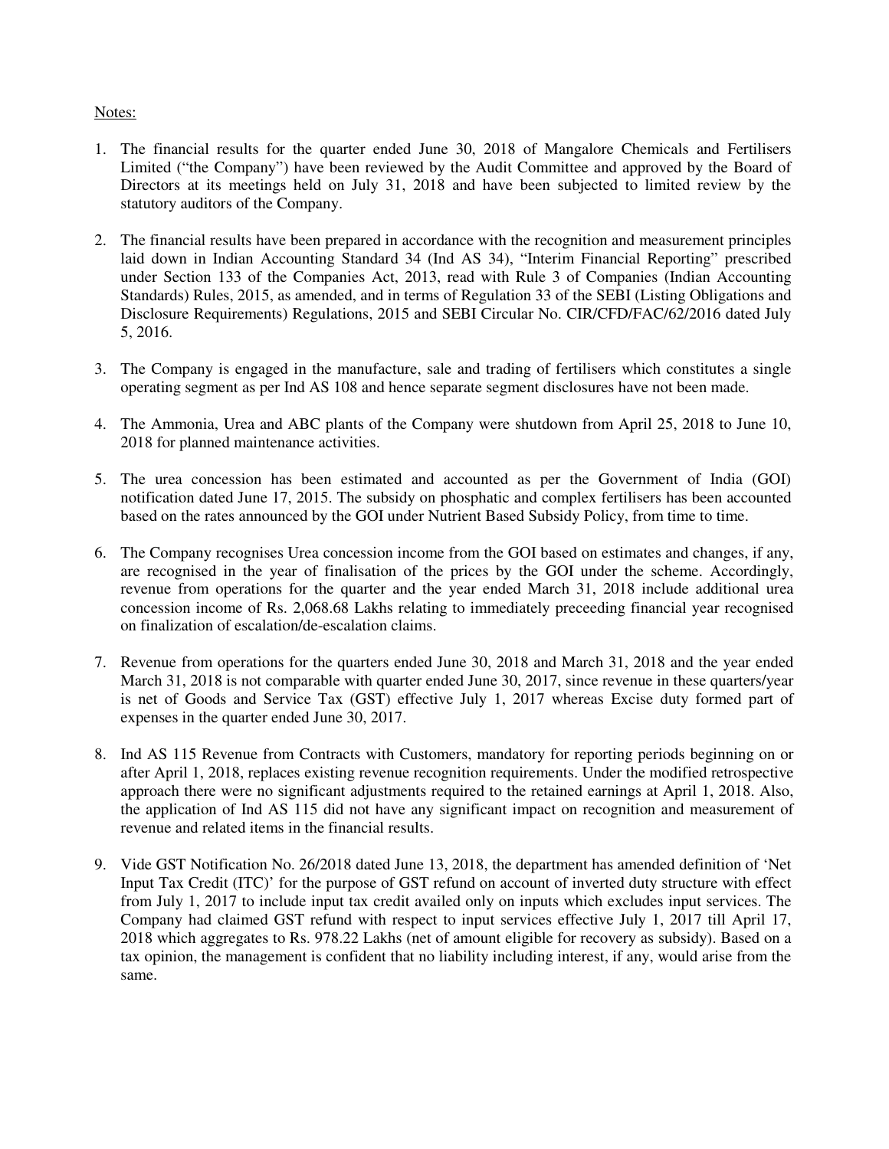## Notes:

- 1. The financial results for the quarter ended June 30, 2018 of Mangalore Chemicals and Fertilisers Limited ("the Company") have been reviewed by the Audit Committee and approved by the Board of Directors at its meetings held on July 31, 2018 and have been subjected to limited review by the statutory auditors of the Company.
- 2. The financial results have been prepared in accordance with the recognition and measurement principles laid down in Indian Accounting Standard 34 (Ind AS 34), "Interim Financial Reporting" prescribed under Section 133 of the Companies Act, 2013, read with Rule 3 of Companies (Indian Accounting Standards) Rules, 2015, as amended, and in terms of Regulation 33 of the SEBI (Listing Obligations and Disclosure Requirements) Regulations, 2015 and SEBI Circular No. CIR/CFD/FAC/62/2016 dated July 5, 2016.
- 3. The Company is engaged in the manufacture, sale and trading of fertilisers which constitutes a single operating segment as per Ind AS 108 and hence separate segment disclosures have not been made.
- 4. The Ammonia, Urea and ABC plants of the Company were shutdown from April 25, 2018 to June 10, 2018 for planned maintenance activities.
- 5. The urea concession has been estimated and accounted as per the Government of India (GOI) notification dated June 17, 2015. The subsidy on phosphatic and complex fertilisers has been accounted based on the rates announced by the GOI under Nutrient Based Subsidy Policy, from time to time.
- 6. The Company recognises Urea concession income from the GOI based on estimates and changes, if any, are recognised in the year of finalisation of the prices by the GOI under the scheme. Accordingly, revenue from operations for the quarter and the year ended March 31, 2018 include additional urea concession income of Rs. 2,068.68 Lakhs relating to immediately preceeding financial year recognised on finalization of escalation/de-escalation claims.
- 7. Revenue from operations for the quarters ended June 30, 2018 and March 31, 2018 and the year ended March 31, 2018 is not comparable with quarter ended June 30, 2017, since revenue in these quarters/year is net of Goods and Service Tax (GST) effective July 1, 2017 whereas Excise duty formed part of expenses in the quarter ended June 30, 2017.
- 8. Ind AS 115 Revenue from Contracts with Customers, mandatory for reporting periods beginning on or after April 1, 2018, replaces existing revenue recognition requirements. Under the modified retrospective approach there were no significant adjustments required to the retained earnings at April 1, 2018. Also, the application of Ind AS 115 did not have any significant impact on recognition and measurement of revenue and related items in the financial results.
- 9. Vide GST Notification No. 26/2018 dated June 13, 2018, the department has amended definition of 'Net Input Tax Credit (ITC)' for the purpose of GST refund on account of inverted duty structure with effect from July 1, 2017 to include input tax credit availed only on inputs which excludes input services. The Company had claimed GST refund with respect to input services effective July 1, 2017 till April 17, 2018 which aggregates to Rs. 978.22 Lakhs (net of amount eligible for recovery as subsidy). Based on a tax opinion, the management is confident that no liability including interest, if any, would arise from the same.